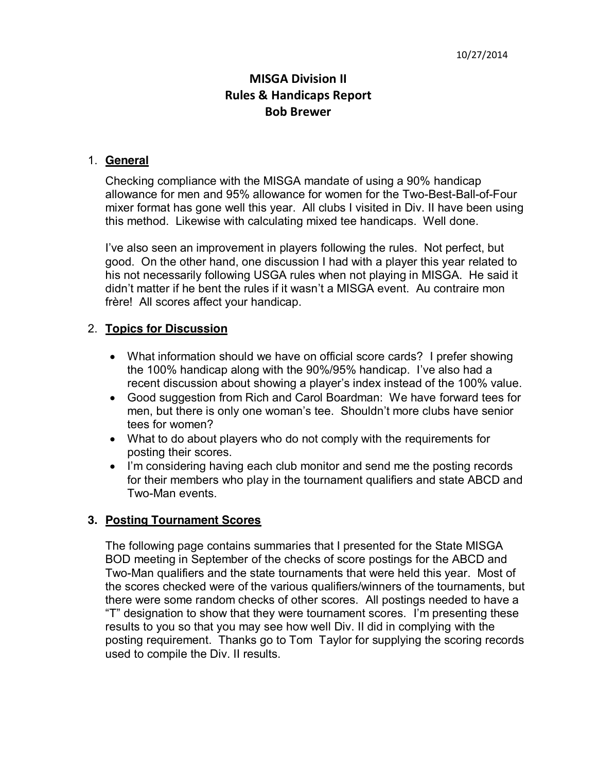# **MISGA Division II Rules & Handicaps Report Bob Brewer**

### 1. **General**

Checking compliance with the MISGA mandate of using a 90% handicap allowance for men and 95% allowance for women for the Two-Best-Ball-of-Four mixer format has gone well this year. All clubs I visited in Div. II have been using this method. Likewise with calculating mixed tee handicaps. Well done.

I've also seen an improvement in players following the rules. Not perfect, but good. On the other hand, one discussion I had with a player this year related to his not necessarily following USGA rules when not playing in MISGA. He said it didn't matter if he bent the rules if it wasn't a MISGA event. Au contraire mon frère! All scores affect your handicap.

### 2. **Topics for Discussion**

- What information should we have on official score cards? I prefer showing the 100% handicap along with the 90%/95% handicap. I've also had a recent discussion about showing a player's index instead of the 100% value.
- Good suggestion from Rich and Carol Boardman: We have forward tees for men, but there is only one woman's tee. Shouldn't more clubs have senior tees for women?
- What to do about players who do not comply with the requirements for posting their scores.
- I'm considering having each club monitor and send me the posting records for their members who play in the tournament qualifiers and state ABCD and Two-Man events.

#### **3. Posting Tournament Scores**

The following page contains summaries that I presented for the State MISGA BOD meeting in September of the checks of score postings for the ABCD and Two-Man qualifiers and the state tournaments that were held this year. Most of the scores checked were of the various qualifiers/winners of the tournaments, but there were some random checks of other scores. All postings needed to have a "T" designation to show that they were tournament scores. I'm presenting these results to you so that you may see how well Div. II did in complying with the posting requirement. Thanks go to Tom Taylor for supplying the scoring records used to compile the Div. II results.